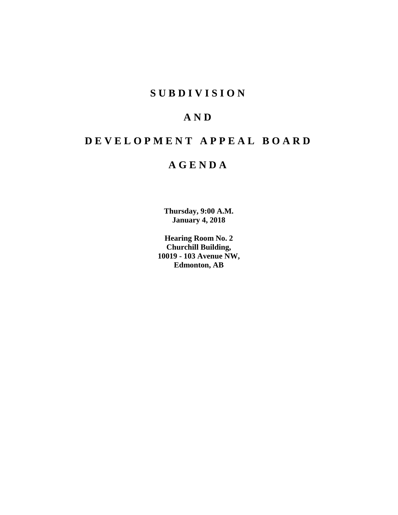## **SUBDIVISION**

## **AND**

## **DEVELOPMENT APPEAL BOARD**

## **AGENDA**

**Thursday, 9:00 A.M. January 4, 2018**

**Hearing Room No. 2 Churchill Building, 10019 - 103 Avenue NW, Edmonton, AB**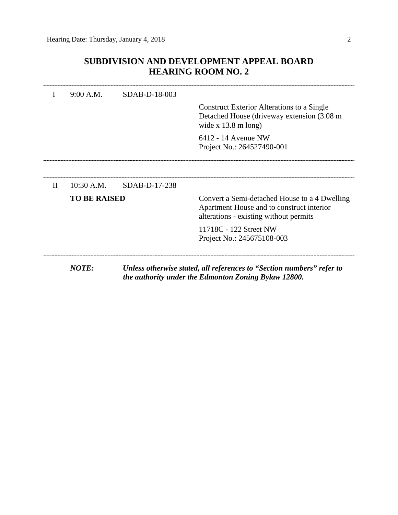### **SUBDIVISION AND DEVELOPMENT APPEAL BOARD HEARING ROOM NO. 2**

|          | 9:00 A.M.           | SDAB-D-18-003 |                                                                                                                                      |
|----------|---------------------|---------------|--------------------------------------------------------------------------------------------------------------------------------------|
|          |                     |               | <b>Construct Exterior Alterations to a Single</b><br>Detached House (driveway extension (3.08 m)<br>wide x $13.8 \text{ m}$ long)    |
|          |                     |               | 6412 - 14 Avenue NW<br>Project No.: 264527490-001                                                                                    |
|          |                     |               |                                                                                                                                      |
| $\rm II$ | $10:30$ A.M.        | SDAB-D-17-238 |                                                                                                                                      |
|          | <b>TO BE RAISED</b> |               | Convert a Semi-detached House to a 4 Dwelling<br>Apartment House and to construct interior<br>alterations - existing without permits |
|          |                     |               | 11718C - 122 Street NW<br>Project No.: 245675108-003                                                                                 |
|          | <b>NOTE:</b>        |               | Unless otherwise stated, all references to "Section numbers" refer to<br>the authority under the Edmonton Zoning Bylaw 12800.        |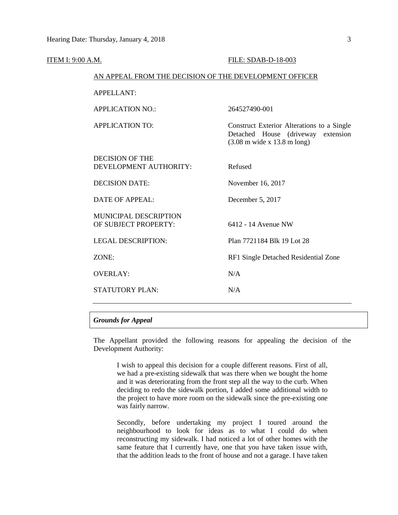| <b>ITEM I: 9:00 A.M.</b> |                                                        | FILE: SDAB-D-18-003                                                                                                                   |  |  |  |  |
|--------------------------|--------------------------------------------------------|---------------------------------------------------------------------------------------------------------------------------------------|--|--|--|--|
|                          | AN APPEAL FROM THE DECISION OF THE DEVELOPMENT OFFICER |                                                                                                                                       |  |  |  |  |
|                          | <b>APPELLANT:</b>                                      |                                                                                                                                       |  |  |  |  |
|                          | <b>APPLICATION NO.:</b>                                | 264527490-001                                                                                                                         |  |  |  |  |
|                          | <b>APPLICATION TO:</b>                                 | Construct Exterior Alterations to a Single<br>Detached House (driveway<br>extension<br>$(3.08 \text{ m wide x } 13.8 \text{ m long})$ |  |  |  |  |
|                          | <b>DECISION OF THE</b><br>DEVELOPMENT AUTHORITY:       | Refused                                                                                                                               |  |  |  |  |
|                          | <b>DECISION DATE:</b>                                  | November 16, 2017                                                                                                                     |  |  |  |  |
|                          | <b>DATE OF APPEAL:</b>                                 | December 5, 2017                                                                                                                      |  |  |  |  |
|                          | <b>MUNICIPAL DESCRIPTION</b><br>OF SUBJECT PROPERTY:   | 6412 - 14 Avenue NW                                                                                                                   |  |  |  |  |
|                          | <b>LEGAL DESCRIPTION:</b>                              | Plan 7721184 Blk 19 Lot 28                                                                                                            |  |  |  |  |
|                          | ZONE:                                                  | RF1 Single Detached Residential Zone                                                                                                  |  |  |  |  |
|                          | <b>OVERLAY:</b>                                        | N/A                                                                                                                                   |  |  |  |  |
|                          | <b>STATUTORY PLAN:</b>                                 | N/A                                                                                                                                   |  |  |  |  |
|                          |                                                        |                                                                                                                                       |  |  |  |  |

#### *Grounds for Appeal*

The Appellant provided the following reasons for appealing the decision of the Development Authority:

I wish to appeal this decision for a couple different reasons. First of all, we had a pre-existing sidewalk that was there when we bought the home and it was deteriorating from the front step all the way to the curb. When deciding to redo the sidewalk portion, I added some additional width to the project to have more room on the sidewalk since the pre-existing one was fairly narrow.

Secondly, before undertaking my project I toured around the neighbourhood to look for ideas as to what I could do when reconstructing my sidewalk. I had noticed a lot of other homes with the same feature that I currently have, one that you have taken issue with, that the addition leads to the front of house and not a garage. I have taken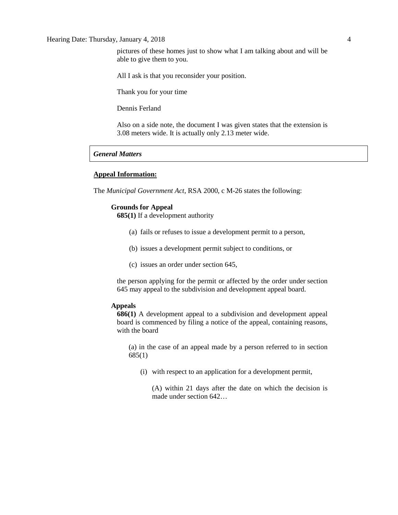#### Hearing Date: Thursday, January 4, 2018 4

All I ask is that you reconsider your position.

Thank you for your time

Dennis Ferland

Also on a side note, the document I was given states that the extension is 3.08 meters wide. It is actually only 2.13 meter wide.

#### *General Matters*

#### **Appeal Information:**

The *Municipal Government Act*, RSA 2000, c M-26 states the following:

#### **Grounds for Appeal**

**685(1)** If a development authority

- (a) fails or refuses to issue a development permit to a person,
- (b) issues a development permit subject to conditions, or
- (c) issues an order under section 645,

the person applying for the permit or affected by the order under section 645 may appeal to the subdivision and development appeal board.

#### **Appeals**

**686(1)** A development appeal to a subdivision and development appeal board is commenced by filing a notice of the appeal, containing reasons, with the board

(a) in the case of an appeal made by a person referred to in section 685(1)

(i) with respect to an application for a development permit,

(A) within 21 days after the date on which the decision is made under section 642…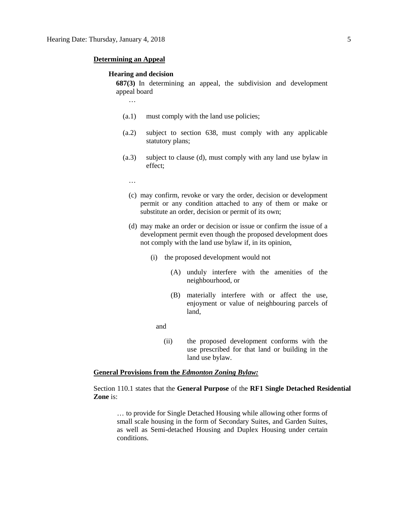#### **Determining an Appeal**

…

#### **Hearing and decision**

**687(3)** In determining an appeal, the subdivision and development appeal board

- (a.1) must comply with the land use policies;
- (a.2) subject to section 638, must comply with any applicable statutory plans;
- (a.3) subject to clause (d), must comply with any land use bylaw in effect;
	- …
	- (c) may confirm, revoke or vary the order, decision or development permit or any condition attached to any of them or make or substitute an order, decision or permit of its own;
	- (d) may make an order or decision or issue or confirm the issue of a development permit even though the proposed development does not comply with the land use bylaw if, in its opinion,
		- (i) the proposed development would not
			- (A) unduly interfere with the amenities of the neighbourhood, or
			- (B) materially interfere with or affect the use, enjoyment or value of neighbouring parcels of land,

and

(ii) the proposed development conforms with the use prescribed for that land or building in the land use bylaw.

#### **General Provisions from the** *Edmonton Zoning Bylaw:*

Section 110.1 states that the **General Purpose** of the **RF1 Single Detached Residential Zone** is:

… to provide for Single Detached Housing while allowing other forms of small scale housing in the form of Secondary Suites, and Garden Suites, as well as Semi-detached Housing and Duplex Housing under certain conditions.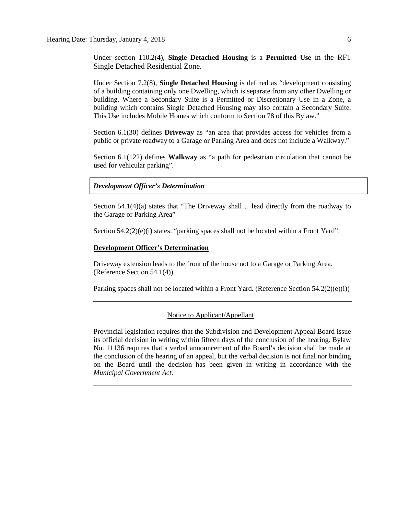Under section 110.2(4), **Single Detached Housing** is a **Permitted Use** in the RF1 Single Detached Residential Zone.

Under Section 7.2(8), **Single Detached Housing** is defined as "development consisting of a building containing only one Dwelling, which is separate from any other Dwelling or building. Where a Secondary Suite is a Permitted or Discretionary Use in a Zone, a building which contains Single Detached Housing may also contain a Secondary Suite. This Use includes Mobile Homes which conform to Section 78 of this Bylaw."

Section 6.1(30) defines **Driveway** as "an area that provides access for vehicles from a public or private roadway to a Garage or Parking Area and does not include a Walkway."

Section 6.1(122) defines **Walkway** as "a path for pedestrian circulation that cannot be used for vehicular parking".

#### *Development Officer's Determination*

Section 54.1(4)(a) states that "The Driveway shall… lead directly from the roadway to the Garage or Parking Area"

Section 54.2(2)(e)(i) states: "parking spaces shall not be located within a Front Yard".

#### **Development Officer's Determination**

Driveway extension leads to the front of the house not to a Garage or Parking Area. (Reference Section 54.1(4))

Parking spaces shall not be located within a Front Yard. (Reference Section  $54.2(2)(e)(i)$ )

#### Notice to Applicant/Appellant

Provincial legislation requires that the Subdivision and Development Appeal Board issue its official decision in writing within fifteen days of the conclusion of the hearing. Bylaw No. 11136 requires that a verbal announcement of the Board's decision shall be made at the conclusion of the hearing of an appeal, but the verbal decision is not final nor binding on the Board until the decision has been given in writing in accordance with the *Municipal Government Act.*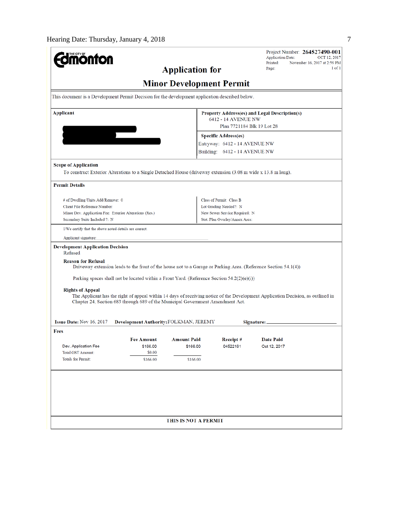| <b>Imónton</b><br><b>Application for</b><br><b>Minor Development Permit</b><br>This document is a Development Permit Decision for the development application described below.<br>Applicant<br>$\overline{\phantom{0}}$                       | Property Address(es) and Legal Description(s)<br>6412 - 14 AVENUE NW<br>Plan 7721184 Blk 19 Lot 28<br><b>Specific Address(es)</b><br>Entryway: 6412 - 14 AVENUE NW<br>Building: 6412 - 14 AVENUE NW | $1$ of $1$<br>Page: |  |
|-----------------------------------------------------------------------------------------------------------------------------------------------------------------------------------------------------------------------------------------------|-----------------------------------------------------------------------------------------------------------------------------------------------------------------------------------------------------|---------------------|--|
|                                                                                                                                                                                                                                               |                                                                                                                                                                                                     |                     |  |
|                                                                                                                                                                                                                                               |                                                                                                                                                                                                     |                     |  |
|                                                                                                                                                                                                                                               |                                                                                                                                                                                                     |                     |  |
|                                                                                                                                                                                                                                               |                                                                                                                                                                                                     |                     |  |
|                                                                                                                                                                                                                                               |                                                                                                                                                                                                     |                     |  |
|                                                                                                                                                                                                                                               |                                                                                                                                                                                                     |                     |  |
|                                                                                                                                                                                                                                               |                                                                                                                                                                                                     |                     |  |
|                                                                                                                                                                                                                                               |                                                                                                                                                                                                     |                     |  |
| <b>Scope of Application</b><br>To construct Exterior Alterations to a Single Detached House (driveway extension (3.08 m wide x 13.8 m long).                                                                                                  |                                                                                                                                                                                                     |                     |  |
| <b>Permit Details</b>                                                                                                                                                                                                                         |                                                                                                                                                                                                     |                     |  |
| # of Dwelling Units Add/Remove: 0                                                                                                                                                                                                             | Class of Permit: Class B                                                                                                                                                                            |                     |  |
| Client File Reference Number:                                                                                                                                                                                                                 | Lot Grading Needed?: N                                                                                                                                                                              |                     |  |
| Minor Dev. Application Fee: Exterior Alterations (Res.)                                                                                                                                                                                       | New Sewer Service Required: N                                                                                                                                                                       |                     |  |
| Secondary Suite Included ?: N                                                                                                                                                                                                                 | Stat. Plan Overlay/Annex Area:                                                                                                                                                                      |                     |  |
| I/We certify that the above noted details are correct.                                                                                                                                                                                        |                                                                                                                                                                                                     |                     |  |
| Applicant signature:                                                                                                                                                                                                                          |                                                                                                                                                                                                     |                     |  |
| <b>Development Application Decision</b><br>Refused                                                                                                                                                                                            |                                                                                                                                                                                                     |                     |  |
| <b>Reason for Refusal</b><br>Driveway extension leads to the front of the house not to a Garage or Parking Area. (Reference Section 54.1(4))                                                                                                  |                                                                                                                                                                                                     |                     |  |
| Parking spaces shall not be located within a Front Yard. (Reference Section $54.2(2)(e)(i)$ )                                                                                                                                                 |                                                                                                                                                                                                     |                     |  |
| <b>Rights of Appeal</b><br>The Applicant has the right of appeal within 14 days of receiving notice of the Development Application Decision, as outlined in<br>Chapter 24, Section 683 through 689 of the Municipal Government Amendment Act. |                                                                                                                                                                                                     |                     |  |
| Issue Date: Nov 16, 2017<br>Development Authority: FOLKMAN, JEREMY                                                                                                                                                                            | Signature: _                                                                                                                                                                                        |                     |  |
| Fees                                                                                                                                                                                                                                          |                                                                                                                                                                                                     |                     |  |
| <b>Amount Paid</b><br>Fee Amount                                                                                                                                                                                                              | Receipt#                                                                                                                                                                                            | <b>Date Paid</b>    |  |
| Dev. Application Fee<br>\$166.00<br>\$166.00<br><b>Total GST Amount:</b><br>\$0.00                                                                                                                                                            | 04522161                                                                                                                                                                                            | Oct 12, 2017        |  |
| <b>Totals for Permit:</b><br>\$166.00<br>\$166.00                                                                                                                                                                                             |                                                                                                                                                                                                     |                     |  |
|                                                                                                                                                                                                                                               |                                                                                                                                                                                                     |                     |  |
|                                                                                                                                                                                                                                               |                                                                                                                                                                                                     |                     |  |
|                                                                                                                                                                                                                                               |                                                                                                                                                                                                     |                     |  |
|                                                                                                                                                                                                                                               |                                                                                                                                                                                                     |                     |  |
|                                                                                                                                                                                                                                               |                                                                                                                                                                                                     |                     |  |
|                                                                                                                                                                                                                                               |                                                                                                                                                                                                     |                     |  |
| THIS IS NOT A PERMIT                                                                                                                                                                                                                          |                                                                                                                                                                                                     |                     |  |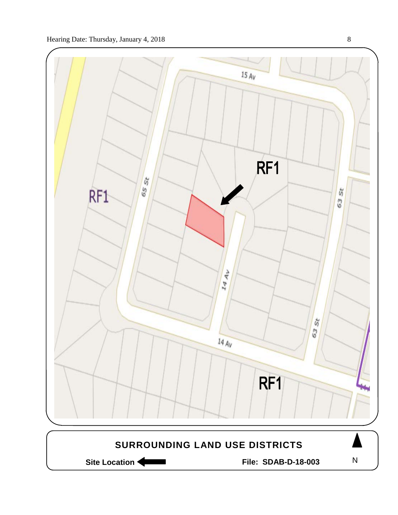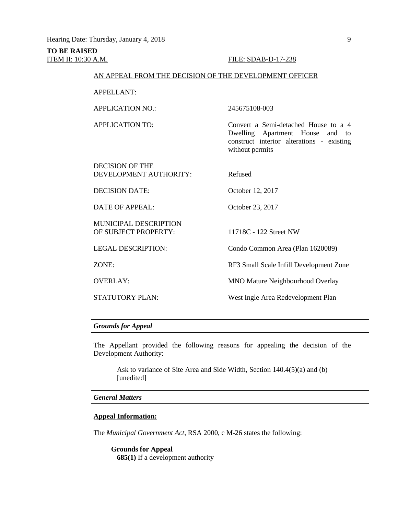## **TO BE RAISED**

#### ITEM II: 10:30 A.M. FILE: SDAB-D-17-238

#### AN APPEAL FROM THE DECISION OF THE DEVELOPMENT OFFICER

APPELLANT:

APPLICATION NO.: 245675108-003

APPLICATION TO: Convert a Semi-detached House to a 4

DECISION OF THE DEVELOPMENT AUTHORITY: Refused

DECISION DATE: October 12, 2017

DATE OF APPEAL: October 23, 2017

MUNICIPAL DESCRIPTION OF SUBJECT PROPERTY: 11718C - 122 Street NW

without permits

LEGAL DESCRIPTION: Condo Common Area (Plan 1620089)

ZONE: RF3 Small Scale Infill Development Zone

Dwelling Apartment House and to construct interior alterations - existing

OVERLAY: MNO Mature Neighbourhood Overlay

STATUTORY PLAN: West Ingle Area Redevelopment Plan

#### *Grounds for Appeal*

The Appellant provided the following reasons for appealing the decision of the Development Authority:

Ask to variance of Site Area and Side Width, Section 140.4(5)(a) and (b) [unedited]

#### *General Matters*

#### **Appeal Information:**

The *Municipal Government Act*, RSA 2000, c M-26 states the following:

**Grounds for Appeal 685(1)** If a development authority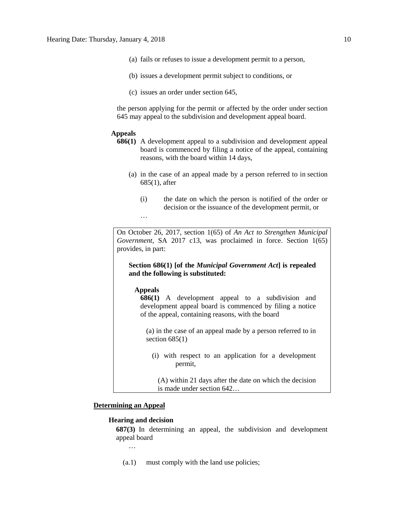- (a) fails or refuses to issue a development permit to a person,
- (b) issues a development permit subject to conditions, or
- (c) issues an order under section 645,

the person applying for the permit or affected by the order under section 645 may appeal to the subdivision and development appeal board.

#### **Appeals**

- **686(1)** A development appeal to a subdivision and development appeal board is commenced by filing a notice of the appeal, containing reasons, with the board within 14 days,
	- (a) in the case of an appeal made by a person referred to in section 685(1), after
		- (i) the date on which the person is notified of the order or decision or the issuance of the development permit, or

On October 26, 2017, section 1(65) of *An Act to Strengthen Municipal Government*, SA 2017 c13, was proclaimed in force. Section 1(65) provides, in part:

**Section 686(1) [of the** *Municipal Government Act***] is repealed and the following is substituted:** 

#### **Appeals**

…

**686(1)** A development appeal to a subdivision and development appeal board is commenced by filing a notice of the appeal, containing reasons, with the board

(a) in the case of an appeal made by a person referred to in section  $685(1)$ 

(i) with respect to an application for a development permit,

(A) within 21 days after the date on which the decision is made under section 642…

#### **Determining an Appeal**

#### **Hearing and decision**

**687(3)** In determining an appeal, the subdivision and development appeal board

…

(a.1) must comply with the land use policies;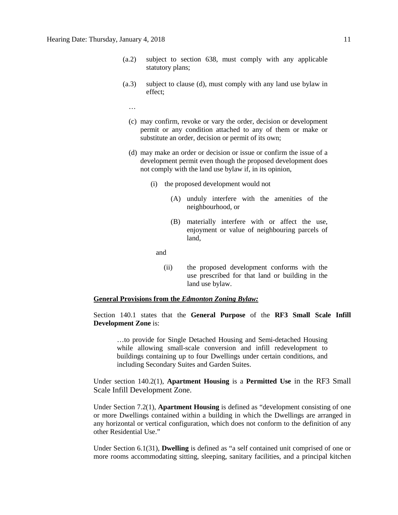- (a.2) subject to section 638, must comply with any applicable statutory plans;
- (a.3) subject to clause (d), must comply with any land use bylaw in effect;
	- …
	- (c) may confirm, revoke or vary the order, decision or development permit or any condition attached to any of them or make or substitute an order, decision or permit of its own;
	- (d) may make an order or decision or issue or confirm the issue of a development permit even though the proposed development does not comply with the land use bylaw if, in its opinion,
		- (i) the proposed development would not
			- (A) unduly interfere with the amenities of the neighbourhood, or
			- (B) materially interfere with or affect the use, enjoyment or value of neighbouring parcels of land,

and

(ii) the proposed development conforms with the use prescribed for that land or building in the land use bylaw.

#### **General Provisions from the** *Edmonton Zoning Bylaw:*

Section 140.1 states that the **General Purpose** of the **RF3 Small Scale Infill Development Zone** is:

…to provide for Single Detached Housing and Semi-detached Housing while allowing small-scale conversion and infill redevelopment to buildings containing up to four Dwellings under certain conditions, and including Secondary Suites and Garden Suites.

Under section 140.2(1), **Apartment Housing** is a **Permitted Use** in the RF3 Small Scale Infill Development Zone.

Under Section 7.2(1), **Apartment Housing** is defined as "development consisting of one or more Dwellings contained within a building in which the Dwellings are arranged in any horizontal or vertical configuration, which does not conform to the definition of any other Residential Use."

Under Section 6.1(31), **Dwelling** is defined as "a self contained unit comprised of one or more rooms accommodating sitting, sleeping, sanitary facilities, and a principal kitchen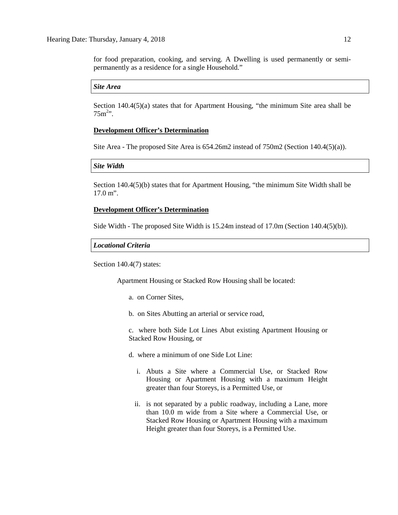for food preparation, cooking, and serving. A Dwelling is used permanently or semipermanently as a residence for a single Household."

#### *Site Area*

Section 140.4(5)(a) states that for Apartment Housing, "the minimum Site area shall be  $75m^{2}$ ".

#### **Development Officer's Determination**

Site Area - The proposed Site Area is 654.26m2 instead of 750m2 (Section 140.4(5)(a)).

#### *Site Width*

Section 140.4(5)(b) states that for Apartment Housing, "the minimum Site Width shall be 17.0 m".

#### **Development Officer's Determination**

Side Width - The proposed Site Width is 15.24m instead of 17.0m (Section 140.4(5)(b)).

#### *Locational Criteria*

Section 140.4(7) states:

Apartment Housing or Stacked Row Housing shall be located:

- a. on Corner Sites,
- b. on Sites Abutting an arterial or service road,

c. where both Side Lot Lines Abut existing Apartment Housing or Stacked Row Housing, or

- d. where a minimum of one Side Lot Line:
	- i. Abuts a Site where a Commercial Use, or Stacked Row Housing or Apartment Housing with a maximum Height greater than four Storeys, is a Permitted Use, or
	- ii. is not separated by a public roadway, including a Lane, more than 10.0 m wide from a Site where a Commercial Use, or Stacked Row Housing or Apartment Housing with a maximum Height greater than four Storeys, is a Permitted Use.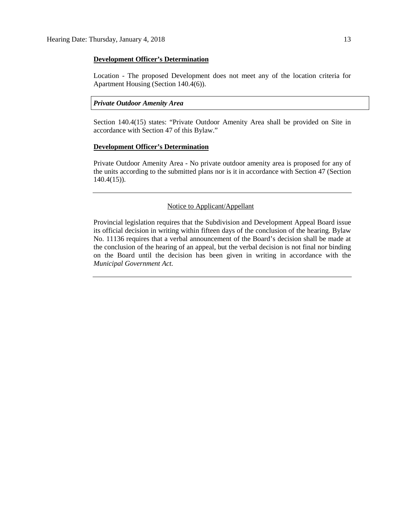#### **Development Officer's Determination**

Location - The proposed Development does not meet any of the location criteria for Apartment Housing (Section 140.4(6)).

#### *Private Outdoor Amenity Area*

Section 140.4(15) states: "Private Outdoor Amenity Area shall be provided on Site in accordance with Section 47 of this Bylaw."

#### **Development Officer's Determination**

Private Outdoor Amenity Area - No private outdoor amenity area is proposed for any of the units according to the submitted plans nor is it in accordance with Section 47 (Section 140.4(15)).

#### Notice to Applicant/Appellant

Provincial legislation requires that the Subdivision and Development Appeal Board issue its official decision in writing within fifteen days of the conclusion of the hearing. Bylaw No. 11136 requires that a verbal announcement of the Board's decision shall be made at the conclusion of the hearing of an appeal, but the verbal decision is not final nor binding on the Board until the decision has been given in writing in accordance with the *Municipal Government Act.*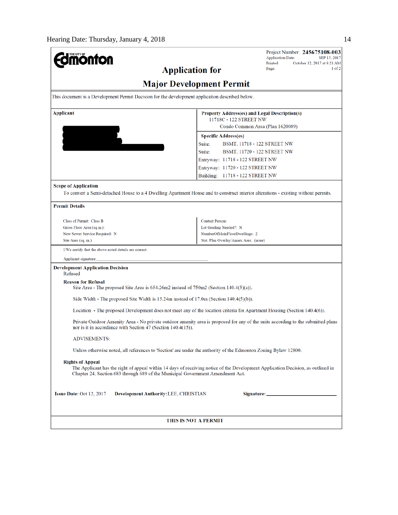| THE CITY OF<br><b>onton</b>                                                                                                                                                                                                                   |                                                            | Project Number: 245675108-003<br><b>Application Date:</b><br>SEP 15, 2017 |  |  |  |
|-----------------------------------------------------------------------------------------------------------------------------------------------------------------------------------------------------------------------------------------------|------------------------------------------------------------|---------------------------------------------------------------------------|--|--|--|
|                                                                                                                                                                                                                                               | Printed:<br>October 12, 2017 at 8:21 AM<br>1 of 2<br>Page: |                                                                           |  |  |  |
|                                                                                                                                                                                                                                               | <b>Application for</b><br><b>Major Development Permit</b>  |                                                                           |  |  |  |
| This document is a Development Permit Decision for the development application described below.                                                                                                                                               |                                                            |                                                                           |  |  |  |
| <b>Applicant</b>                                                                                                                                                                                                                              |                                                            | Property Address(es) and Legal Description(s)                             |  |  |  |
|                                                                                                                                                                                                                                               |                                                            | 11718C - 122 STREET NW<br>Condo Common Area (Plan 1620089)                |  |  |  |
|                                                                                                                                                                                                                                               | <b>Specific Address(es)</b>                                |                                                                           |  |  |  |
|                                                                                                                                                                                                                                               | Suite:                                                     | BSMT, 11718 - 122 STREET NW                                               |  |  |  |
|                                                                                                                                                                                                                                               | Suite:                                                     | BSMT, 11720 - 122 STREET NW                                               |  |  |  |
|                                                                                                                                                                                                                                               | Entryway: 11718 - 122 STREET NW                            |                                                                           |  |  |  |
|                                                                                                                                                                                                                                               | Entryway: 11720 - 122 STREET NW                            |                                                                           |  |  |  |
|                                                                                                                                                                                                                                               |                                                            |                                                                           |  |  |  |
|                                                                                                                                                                                                                                               | Building: 11718 - 122 STREET NW                            |                                                                           |  |  |  |
| <b>Scope of Application</b><br>To convert a Semi-detached House to a 4 Dwelling Apartment House and to construct interior alterations - existing without permits.                                                                             |                                                            |                                                                           |  |  |  |
| <b>Permit Details</b>                                                                                                                                                                                                                         |                                                            |                                                                           |  |  |  |
| Class of Permit: Class B                                                                                                                                                                                                                      | <b>Contact Person:</b>                                     |                                                                           |  |  |  |
| Gross Floor Area (sq.m.):                                                                                                                                                                                                                     | Lot Grading Needed?: N                                     |                                                                           |  |  |  |
| New Sewer Service Required: N                                                                                                                                                                                                                 | NumberOfMainFloorDwellings: 2                              |                                                                           |  |  |  |
| Site Area (sq. m.):                                                                                                                                                                                                                           | Stat. Plan Overlay/Annex Area: (none)                      |                                                                           |  |  |  |
| I/We certify that the above noted details are correct.                                                                                                                                                                                        |                                                            |                                                                           |  |  |  |
| Applicant signature:                                                                                                                                                                                                                          |                                                            |                                                                           |  |  |  |
| <b>Development Application Decision</b><br>Refused                                                                                                                                                                                            |                                                            |                                                                           |  |  |  |
| <b>Reason for Refusal</b><br>Site Area - The proposed Site Area is $654.26 \text{m}$ instead of $750 \text{m}$ (Section 140.4(5)(a)).                                                                                                         |                                                            |                                                                           |  |  |  |
| Side Width - The proposed Site Width is $15.24m$ instead of $17.0m$ (Section $140.4(5)(b)$ ).                                                                                                                                                 |                                                            |                                                                           |  |  |  |
| Location - The proposed Development does not meet any of the location criteria for Apartment Housing (Section 140.4(6)).                                                                                                                      |                                                            |                                                                           |  |  |  |
| Private Outdoor Amenity Area - No private outdoor amenity area is proposed for any of the units according to the submitted plans<br>nor is it in accordance with Section 47 (Section 140.4(15)).                                              |                                                            |                                                                           |  |  |  |
| ADVISEMENTS:                                                                                                                                                                                                                                  |                                                            |                                                                           |  |  |  |
| Unless otherwise noted, all references to 'Section' are under the authority of the Edmonton Zoning Bylaw 12800.                                                                                                                               |                                                            |                                                                           |  |  |  |
|                                                                                                                                                                                                                                               |                                                            |                                                                           |  |  |  |
| <b>Rights of Appeal</b><br>The Applicant has the right of appeal within 14 days of receiving notice of the Development Application Decision, as outlined in<br>Chapter 24, Section 683 through 689 of the Municipal Government Amendment Act. |                                                            |                                                                           |  |  |  |
| <b>Issue Date: Oct 12, 2017</b><br><b>Development Authority: LEE, CHRISTIAN</b>                                                                                                                                                               |                                                            |                                                                           |  |  |  |
|                                                                                                                                                                                                                                               |                                                            |                                                                           |  |  |  |
|                                                                                                                                                                                                                                               | THIS IS NOT A PERMIT                                       |                                                                           |  |  |  |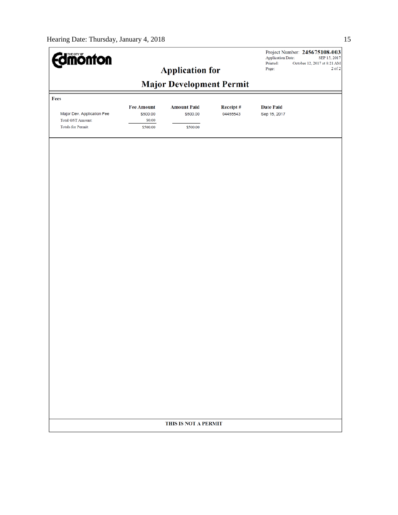| <b>dmönton</b>             |                                                           |                                | Project Number: 245675108-003<br><b>Application Date:</b><br>SEP 15, 2017<br>Printed:<br>October 12, 2017 at 8:21 AM<br>$2$ of $2$ |                                  |       |  |
|----------------------------|-----------------------------------------------------------|--------------------------------|------------------------------------------------------------------------------------------------------------------------------------|----------------------------------|-------|--|
|                            | <b>Application for</b><br><b>Major Development Permit</b> |                                |                                                                                                                                    |                                  | Page: |  |
|                            |                                                           |                                |                                                                                                                                    |                                  |       |  |
| Fees                       |                                                           |                                |                                                                                                                                    |                                  |       |  |
| Major Dev. Application Fee | <b>Fee Amount</b><br>\$500.00                             | <b>Amount Paid</b><br>\$500.00 | Receipt#<br>04455543                                                                                                               | <b>Date Paid</b><br>Sep 15, 2017 |       |  |
| <b>Total GST Amount:</b>   | \$0.00                                                    |                                |                                                                                                                                    |                                  |       |  |
| <b>Totals for Permit:</b>  | \$500.00                                                  | \$500.00                       |                                                                                                                                    |                                  |       |  |
|                            |                                                           |                                |                                                                                                                                    |                                  |       |  |
|                            |                                                           |                                |                                                                                                                                    |                                  |       |  |
|                            |                                                           |                                |                                                                                                                                    |                                  |       |  |
|                            |                                                           |                                |                                                                                                                                    |                                  |       |  |
|                            |                                                           |                                |                                                                                                                                    |                                  |       |  |
|                            |                                                           |                                |                                                                                                                                    |                                  |       |  |
|                            |                                                           |                                |                                                                                                                                    |                                  |       |  |
|                            |                                                           |                                |                                                                                                                                    |                                  |       |  |
|                            |                                                           |                                |                                                                                                                                    |                                  |       |  |
|                            |                                                           |                                |                                                                                                                                    |                                  |       |  |
|                            |                                                           |                                |                                                                                                                                    |                                  |       |  |
|                            |                                                           |                                |                                                                                                                                    |                                  |       |  |
|                            |                                                           |                                |                                                                                                                                    |                                  |       |  |
|                            |                                                           |                                |                                                                                                                                    |                                  |       |  |
|                            |                                                           |                                |                                                                                                                                    |                                  |       |  |
|                            |                                                           |                                |                                                                                                                                    |                                  |       |  |
|                            |                                                           |                                |                                                                                                                                    |                                  |       |  |
|                            |                                                           |                                |                                                                                                                                    |                                  |       |  |
|                            |                                                           |                                |                                                                                                                                    |                                  |       |  |
|                            |                                                           |                                |                                                                                                                                    |                                  |       |  |
|                            |                                                           |                                |                                                                                                                                    |                                  |       |  |
|                            |                                                           |                                |                                                                                                                                    |                                  |       |  |
|                            |                                                           |                                |                                                                                                                                    |                                  |       |  |
|                            |                                                           |                                |                                                                                                                                    |                                  |       |  |
|                            |                                                           |                                |                                                                                                                                    |                                  |       |  |
|                            |                                                           |                                |                                                                                                                                    |                                  |       |  |
|                            |                                                           |                                |                                                                                                                                    |                                  |       |  |
|                            |                                                           | THIS IS NOT A PERMIT           |                                                                                                                                    |                                  |       |  |